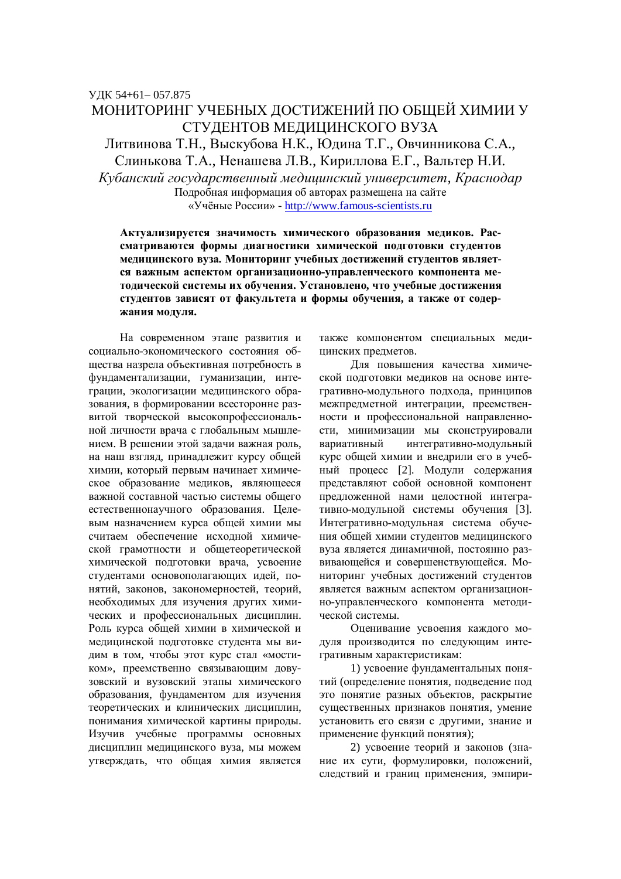# МОНИТОРИНГ УЧЕБНЫХ ЛОСТИЖЕНИЙ ПО ОБШЕЙ ХИМИИ У СТУДЕНТОВ МЕДИЦИНСКОГО ВУЗА Литвинова Т.Н., Выскубова Н.К., Юдина Т.Г., Овчинникова С.А.,

Слинькова Т.А., Ненашева Л.В., Кириллова Е.Г., Вальтер Н.И.  $Kv$ банский государственный медицинский университет, Краснодар

> Подробная информация об авторах размещена на сайте «Учёные России» - http://www.famous-scientists.ru

Актуализируется значимость химического образования медиков. Рассматриваются формы диагностики химической подготовки студентов медицинского вуза. Мониторинг учебных достижений студентов является важным аспектом организационно-управленческого компонента методической системы их обучения. Установлено, что учебные достижения студентов зависят от факультета и формы обучения, а также от содер-ЖАНИЯ МОДУЛЯ.

На современном этапе развития и сониально-экономического состояния обшества назрела объективная потребность в фундаментализации, гуманизации, интеграции, экологизации медицинского образования, в формировании всесторонне развитой творческой высокопрофессиональной личности врача с глобальным мышлением. В решении этой задачи важная роль, на наш взгляд, принадлежит курсу общей химии, который первым начинает химическое образование медиков, являющееся важной составной частью системы общего естественнонаучного образования. Целевым назначением курса общей химии мы считаем обеспечение исходной химической грамотности и общетеоретической химической подготовки врача, усвоение студентами основополагающих идей, понятий, законов, закономерностей, теорий, необходимых для изучения других химических и профессиональных дисциплин. Роль курса общей химии в химической и медицинской подготовке студента мы видим в том, чтобы этот курс стал «мостиком», преемственно связывающим довузовский и вузовский этапы химического образования, фундаментом для изучения теоретических и клинических дисциплин, понимания химической картины природы. Изучив учебные программы основных дисциплин медицинского вуза, мы можем утверждать, что общая химия является также компонентом специальных мелицинских предметов.

Для повышения качества химической подготовки медиков на основе интегративно-модульного подхода, принципов лежпредметной интеграции, преемственности и профессиональной направленности, минимизации мы сконструировали вариативный интегративно-модульный курс общей химии и внелрили его в учебный процесс [2]. Модули содержания представляют собой основной компонент предложенной нами целостной интегративно-модульной системы обучения [3]. Интегративно-модульная система обучения общей химии стулентов мелицинского вуза является динамичной, постоянно развивающейся и совершенствующейся. Мониторинг учебных достижений студентов является важным аспектом организационно-управленческого компонента методической системы.

Оценивание усвоения каждого модуля производится по следующим интегративным характеристикам:

1) усвоение фундаментальных понятий (определение понятия, подведение под это понятие разных объектов, раскрытие существенных признаков понятия, умение установить его связи с другими, знание и применение функций понятия);

2) усвоение теорий и законов (знание их сути, формулировки, положений, следствий и границ применения, эмпири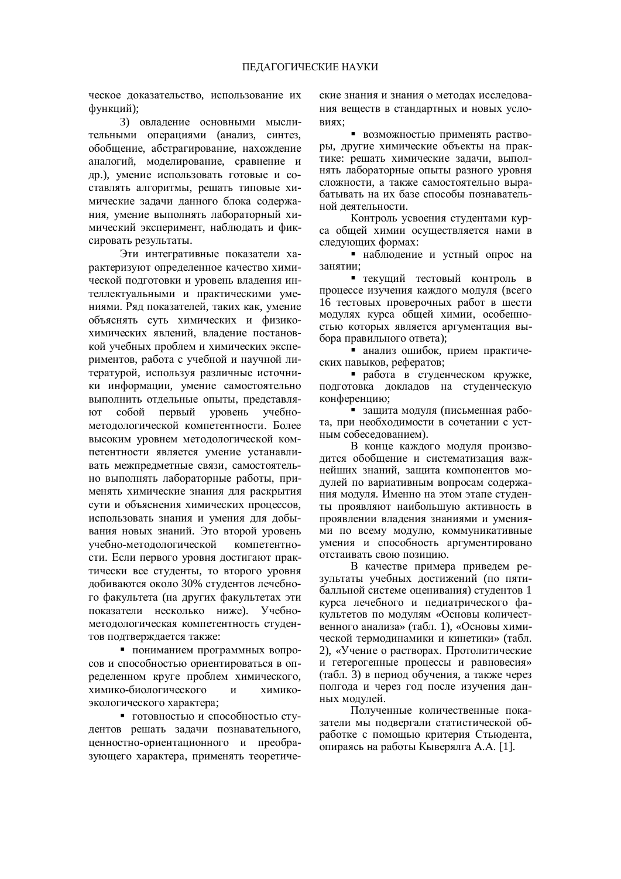ческое доказательство, использование их функций);

3) овладение основными мыслительными операциями (анализ, синтез, обобщение, абстрагирование, нахождение аналогий, моделирование, сравнение и др.), умение использовать готовые и составлять алгоритмы, решать типовые химические задачи данного блока содержания, умение выполнять лабораторный химический эксперимент, наблюдать и фиксировать результаты.

Эти интегративные показатели характеризуют определенное качество химической подготовки и уровень владения интеллектуальными и практическими умениями. Ряд показателей, таких как, умение объяснять суть химических и физикохимических явлений, владение постановкой учебных проблем и химических экспериментов, работа с учебной и научной литературой, используя различные источники информации, умение самостоятельно выполнить отдельные опыты, представляют собой первый уровень учебнометодологической компетентности. Более высоким уровнем методологической компетентности является умение устанавливать межпредметные связи, самостоятельно выполнять лабораторные работы, применять химические знания для раскрытия сути и объяснения химических процессов, использовать знания и умения для добывания новых знаний. Это второй уровень учебно-методологической компетентности. Если первого уровня достигают практически все студенты, то второго уровня добиваются около 30% студентов лечебного факультета (на других факультетах эти показатели несколько ниже). Учебнометолологическая компетентность студентов подтверждается также:

• пониманием программных вопросов и способностью ориентироваться в определенном круге проблем химического, химико-биологического и химикоэкологического характера;

• готовностью и способностью студентов решать залачи познавательного. ценностно-ориентационного и преобразующего характера, применять теоретические знания и знания о методах исследования веществ в стандартных и новых условиях:

• возможностью применять растворы, другие химические объекты на практике: решать химические залачи, выполнять лабораторные опыты разного уровня сложности, а также самостоятельно вырабатывать на их базе способы познавательной деятельности.

Контроль усвоения студентами курса общей химии осуществляется нами в следующих формах:

• наблюдение и устный опрос на занятии;

• текущий тестовый контроль в процессе изучения каждого модуля (всего 16 тестовых проверочных работ в шести модулях курса общей химии, особенностью которых является аргументация выбора правильного ответа);

• анализ ошибок, прием практических навыков, рефератов;

• работа в студенческом кружке, подготовка докладов на студенческую конференцию:

• защита модуля (письменная работа, при необходимости в сочетании с устным собеседованием).

В конце каждого модуля производится обобщение и систематизация важнейших знаний, защита компонентов модулей по вариативным вопросам содержания модуля. Именно на этом этапе студенты проявляют наибольшую активность в проявлении владения знаниями и умениями по всему модулю, коммуникативные умения и способность аргументировано отстаивать свою позицию.

В качестве примера приведем результаты учебных достижений (по пятибалльной системе оценивания) студентов 1 курса лечебного и педиатрического факультетов по модулям «Основы количественного анализа» (табл. 1), «Основы химической термолинамики и кинетики» (табл. 2), «Учение о растворах. Протолитические и гетерогенные процессы и равновесия» (табл. 3) в период обучения, а также через полгода и через год после изучения данных модулей.

Полученные количественные показатели мы подвергали статистической обработке с помощью критерия Стьюдента, опираясь на работы Кыверялга А.А. [1].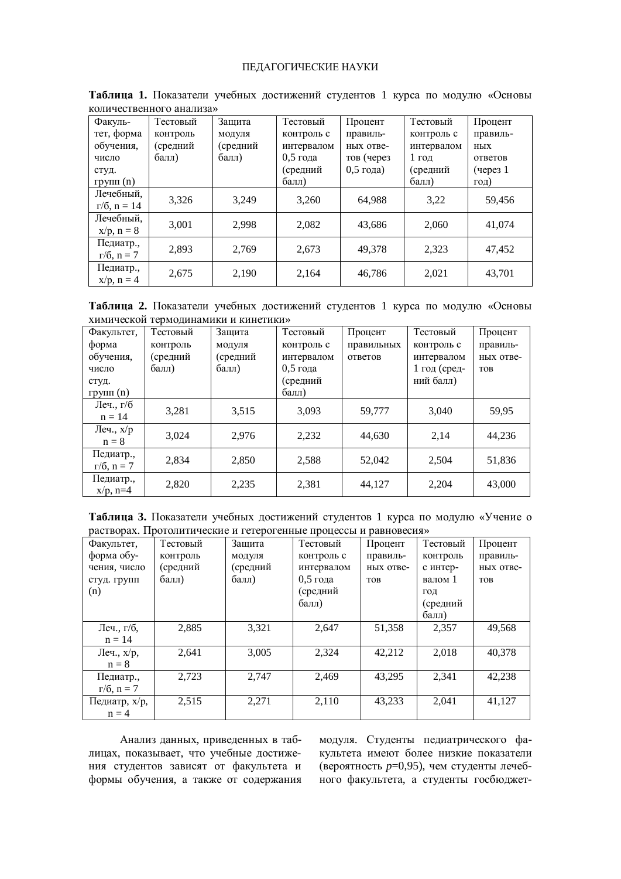## ПЕДАГОГИЧЕСКИЕ НАУКИ

| <u>KOMA TUUTBUHIIOI O UHUMBUZ</u> |          |          |            |             |            |               |  |  |
|-----------------------------------|----------|----------|------------|-------------|------------|---------------|--|--|
| Факуль-                           | Тестовый | Защита   | Тестовый   | Процент     | Тестовый   | Процент       |  |  |
| тет, форма                        | контроль | модуля   | контроль с | правиль-    | контроль с | правиль-      |  |  |
| обучения,                         | (средний | (средний | интервалом | ных отве-   | интервалом | НЫХ           |  |  |
| число                             | балл)    | балл)    | $0.5$ года | тов (через  | 1 год      | ответов       |  |  |
| студ.                             |          |          | (средний   | $0.5$ года) | (средний   | $($ через $1$ |  |  |
| групп $(n)$                       |          |          | балл)      |             | балл)      | год)          |  |  |
| Лечебный,                         | 3,326    | 3,249    | 3,260      | 64,988      | 3,22       | 59,456        |  |  |
| $r/6$ , $n = 14$                  |          |          |            |             |            |               |  |  |
| Лечебный,                         | 3,001    | 2.998    | 2,082      | 43,686      | 2,060      | 41,074        |  |  |
| $x/p, n = 8$                      |          |          |            |             |            |               |  |  |
| Педиатр.,                         | 2.893    | 2.769    | 2,673      | 49.378      | 2.323      | 47,452        |  |  |
| $r/6$ , $n = 7$                   |          |          |            |             |            |               |  |  |
| Педиатр.,                         | 2,675    | 2,190    | 2,164      | 46,786      | 2,021      | 43,701        |  |  |
| $x/p, n = 4$                      |          |          |            |             |            |               |  |  |

Таблица 1. Показатели учебных достижений студентов 1 курса по модулю «Основы  $\kappa$ опичественного анапиза»

Таблица 2. Показатели учебных достижений студентов 1 курса по модулю «Основы химической термодинамики и кинетики»

| Факультет,      | Тестовый | Защита   | Тестовый   | Процент    | Тестовый     | Процент    |
|-----------------|----------|----------|------------|------------|--------------|------------|
| форма           | контроль | модуля   | контроль с | правильных | контроль с   | правиль-   |
| обучения,       | (средний | (средний | интервалом | ответов    | интервалом   | ных отве-  |
| число           | балл)    | балл)    | $0.5$ года |            | 1 год (сред- | <b>TOB</b> |
| студ.           |          |          | (средний   |            | ний балл)    |            |
| групп $(n)$     |          |          | балл)      |            |              |            |
| Леч., г/б       | 3,281    | 3,515    | 3.093      | 59.777     | 3.040        | 59.95      |
| $n = 14$        |          |          |            |            |              |            |
| Леч., $x/p$     | 3.024    | 2,976    | 2,232      | 44.630     | 2,14         | 44,236     |
| $n = 8$         |          |          |            |            |              |            |
| Педиатр.,       | 2.834    | 2,850    | 2,588      | 52,042     | 2.504        | 51,836     |
| $r/6$ , $n = 7$ |          |          |            |            |              |            |
| Педиатр.,       | 2,820    | 2,235    | 2,381      | 44,127     | 2,204        | 43,000     |
| $x/p$ , n=4     |          |          |            |            |              |            |

Таблица 3. Показатели учебных достижений студентов 1 курса по модулю «Учение о растворах. Протолитические и гетерогенные процессы и равновесия»

| Факультет,      | Тестовый | Защита   | Тестовый   | Процент    | Тестовый | Процент    |
|-----------------|----------|----------|------------|------------|----------|------------|
| форма обу-      | контроль | модуля   | контроль с | правиль-   | контроль | правиль-   |
| чения, число    | (средний | (средний | интервалом | ных отве-  | с интер- | ных отве-  |
| студ. групп     | балл)    | балл)    | $0.5$ года | <b>TOB</b> | валом 1  | <b>TOB</b> |
| (n)             |          |          | (средний   |            | ГОД      |            |
|                 |          |          | балл)      |            | (средний |            |
|                 |          |          |            |            | балл)    |            |
| Леч., г/б,      | 2,885    | 3,321    | 2,647      | 51,358     | 2,357    | 49,568     |
| $n = 14$        |          |          |            |            |          |            |
| Леч., $x/p$ ,   | 2,641    | 3,005    | 2,324      | 42,212     | 2,018    | 40,378     |
| $n = 8$         |          |          |            |            |          |            |
| Педиатр.,       | 2,723    | 2.747    | 2,469      | 43.295     | 2,341    | 42,238     |
| $r/6$ , $n = 7$ |          |          |            |            |          |            |
| Педиатр, х/р,   | 2,515    | 2,271    | 2,110      | 43,233     | 2,041    | 41,127     |
| $n = 4$         |          |          |            |            |          |            |

Анализ данных, приведенных в таблицах, показывает, что учебные достижения студентов зависят от факультета и формы обучения, а также от содержания модуля. Студенты педиатрического факультета имеют более низкие показатели (вероятность  $p=0,95$ ), чем студенты лечебного факультета, а студенты госбюджет-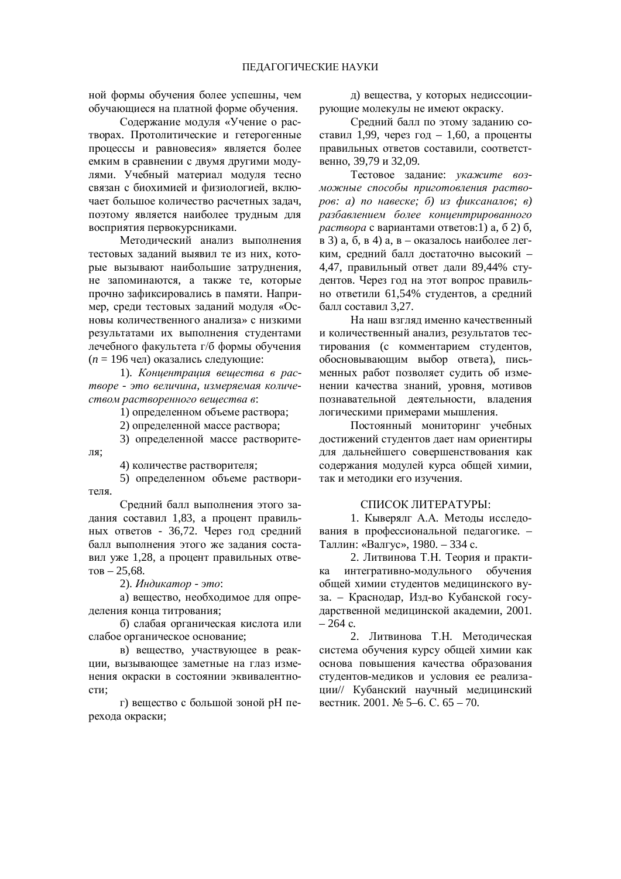ной формы обучения более успешны, чем обучающиеся на платной форме обучения.

Содержание модуля «Учение о растворах. Протолитические и гетерогенные процессы и равновесия» является более емким в сравнении с двумя другими модулями. Учебный материал модуля тесно связан с биохимией и физиологией, включает большое количество расчетных задач, поэтому является наиболее трудным для восприятия первокурсниками.

Методический анализ выполнения тестовых заданий выявил те из них, которые вызывают наибольшие затруднения, не запоминаются, а также те, которые прочно зафиксировались в памяти. Например, среди тестовых заданий модуля «Основы количественного анализа» с низкими результатами их выполнения студентами лечебного факультета г/б формы обучения  $(n = 196 \text{ y})$  оказались следующие:

1). *Кониентраиия вешества в рас* $m$ воре - это величина, измеряемая количе $c$ *mвом растворенного вешества в*:

1) определенном объеме раствора;

2) определенной массе раствора;

3) определенной массе растворите-

4) количестве растворителя;

ля:

5) определенном объеме растворителя.

Средний балл выполнения этого задания составил 1,83, а процент правильных ответов - 36,72. Через год средний балл выполнения этого же задания составил уже 1,28, а процент правильных отве- $TOB - 25,68.$ 

2). *Индикатор - это*:

а) вещество, необходимое для определения конца титрования;

б) слабая органическая кислота или слабое органическое основание;

**в**) вещество, участвующее в реакции, вызывающее заметные на глаз изменения окраски в состоянии эквивалентности;

г) вещество с большой зоной рН перехода окраски;

д) вещества, у которых недиссоциирующие молекулы не имеют окраску.

Средний балл по этому заданию составил 1,99, через год – 1,60, а проценты правильных ответов составили, соответственно. 39.79 и 32.09.

Тестовое задание: укажите воз- $M$ <sub>*МО*Жные способы приготовления раство-</sub> *poв: a)* по навеске; б) из фиксаналов; в)  $pa$ збавлением более концентрированного *раствора* с вариантами ответов:1) а, б 2) б, в 3) а, б, в 4) а, в – оказалось наиболее легким, средний балл достаточно высокий -4,47, правильный ответ дали 89,44% студентов. Через год на этот вопрос правильно ответили 61,54% студентов, а средний балл составил 3.27.

На наш взглял именно качественный и количественный анализ, результатов тестирования (с комментарием студентов, обосновывающим выбор ответа), письменных работ позволяет судить об изменении качества знаний, уровня, мотивов познавательной деятельности, владения логическими примерами мышления.

Постоянный мониторинг учебных достижений студентов дает нам ориентиры для дальнейшего совершенствования как содержания модулей курса общей химии, так и методики его изучения.

#### СПИСОК ЛИТЕРАТУРЫ:

1. Кыверялг А.А. Методы исследования в профессиональной педагогике. -Таллин: «Валгус», 1980. – 334 с.

2. Литвинова Т.Н. Теория и практика интегративно-модульного обучения общей химии студентов медицинского вуза. – Краснодар, Изд-во Кубанской государственной медицинской академии, 2001.  $-264$  c.

2. Литвинова Т.Н. Метолическая система обучения курсу общей химии как основа повышения качества образования студентов-медиков и условия ее реализации// Кубанский научный медицинский вестник. 2001. № 5–6. С. 65 – 70.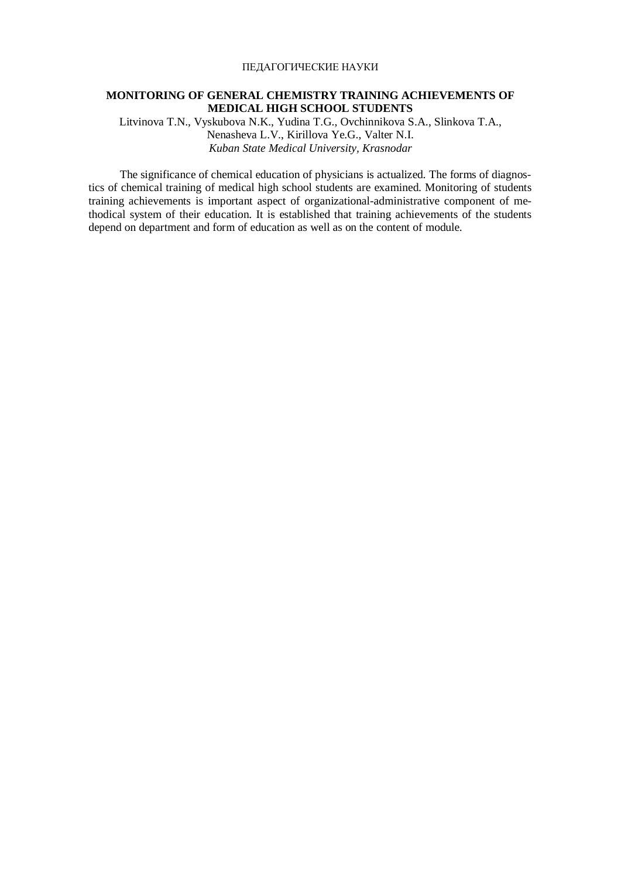#### ПЕДАГОГИЧЕСКИЕ НАУКИ

### **MONITORING OF GENERAL CHEMISTRY TRAINING ACHIEVEMENTS OF MEDICAL HIGH SCHOOL STUDENTS**

Litvinova T.N., Vyskubova N.K., Yudina T.G., Ovchinnikova S.A., Slinkova T.A., Nenasheva L.V., Kirillova Ye.G., Valter N.I. *Kuban State Medical University, Krasnodar* 

The significance of chemical education of physicians is actualized. The forms of diagnostics of chemical training of medical high school students are examined. Monitoring of students training achievements is important aspect of organizational-administrative component of methodical system of their education. It is established that training achievements of the students depend on department and form of education as well as on the content of module.